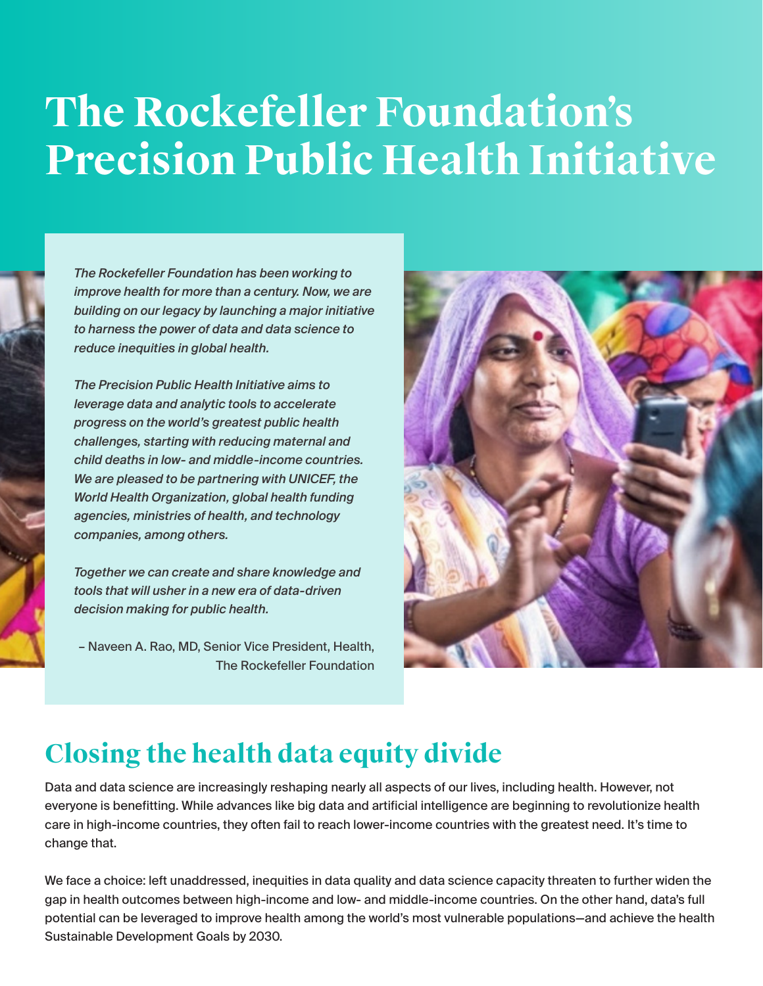# **The Rockefeller Foundation's Precision Public Health Initiative**

*The Rockefeller Foundation has been working to improve health for more than a century. Now, we are building on our legacy by launching a major initiative to harness the power of data and data science to reduce inequities in global health.*

*The Precision Public Health Initiative aims to leverage data and analytic tools to accelerate progress on the world's greatest public health challenges, starting with reducing maternal and child deaths in low- and middle-income countries. We are pleased to be partnering with UNICEF, the World Health Organization, global health funding agencies, ministries of health, and technology companies, among others.*

*Together we can create and share knowledge and tools that will usher in a new era of data-driven decision making for public health.*

– Naveen A. Rao, MD, Senior Vice President, Health, The Rockefeller Foundation



### **Closing the health data equity divide**

Data and data science are increasingly reshaping nearly all aspects of our lives, including health. However, not everyone is benefitting. While advances like big data and artificial intelligence are beginning to revolutionize health care in high-income countries, they often fail to reach lower-income countries with the greatest need. It's time to change that.

We face a choice: left unaddressed, inequities in data quality and data science capacity threaten to further widen the gap in health outcomes between high-income and low- and middle-income countries. On the other hand, data's full potential can be leveraged to improve health among the world's most vulnerable populations—and achieve the health Sustainable Development Goals by 2030.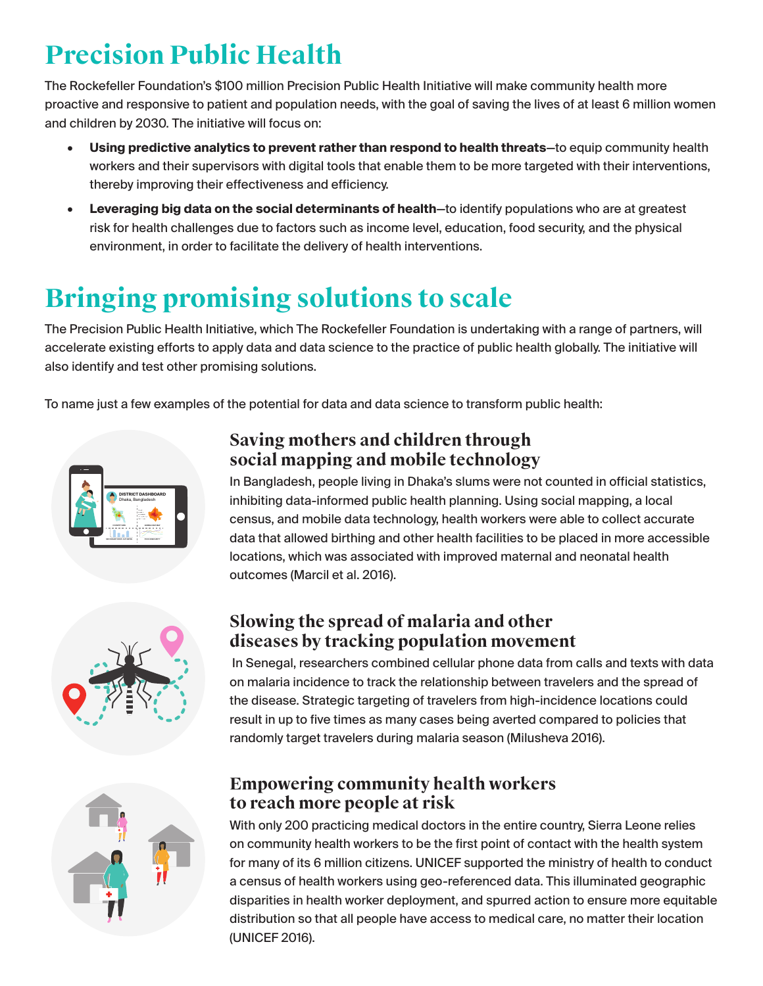# **Precision Public Health**

The Rockefeller Foundation's \$100 million Precision Public Health Initiative will make community health more proactive and responsive to patient and population needs, with the goal of saving the lives of at least 6 million women and children by 2030. The initiative will focus on:

- **• Using predictive analytics to prevent rather than respond to health threats**—to equip community health workers and their supervisors with digital tools that enable them to be more targeted with their interventions, thereby improving their effectiveness and efficiency.
- **• Leveraging big data on the social determinants of health**—to identify populations who are at greatest risk for health challenges due to factors such as income level, education, food security, and the physical environment, in order to facilitate the delivery of health interventions.

## **Bringing promising solutions to scale**

The Precision Public Health Initiative, which The Rockefeller Foundation is undertaking with a range of partners, will accelerate existing efforts to apply data and data science to the practice of public health globally. The initiative will also identify and test other promising solutions.

To name just a few examples of the potential for data and data science to transform public health:



#### **Saving mothers and children through social mapping and mobile technology**

In Bangladesh, people living in Dhaka's slums were not counted in official statistics, inhibiting data-informed public health planning. Using social mapping, a local census, and mobile data technology, health workers were able to collect accurate data that allowed birthing and other health facilities to be placed in more accessible locations, which was associated with improved maternal and neonatal health outcomes (Marcil et al. 2016).



#### **Slowing the spread of malaria and other diseases by tracking population movement**

In Senegal, researchers combined cellular phone data from calls and texts with data on malaria incidence to track the relationship between travelers and the spread of the disease. Strategic targeting of travelers from high-incidence locations could result in up to five times as many cases being averted compared to policies that randomly target travelers during malaria season (Milusheva 2016).



#### **Empowering community health workers to reach more people at risk**

With only 200 practicing medical doctors in the entire country, Sierra Leone relies on community health workers to be the first point of contact with the health system for many of its 6 million citizens. UNICEF supported the ministry of health to conduct a census of health workers using geo-referenced data. This illuminated geographic disparities in health worker deployment, and spurred action to ensure more equitable distribution so that all people have access to medical care, no matter their location (UNICEF 2016).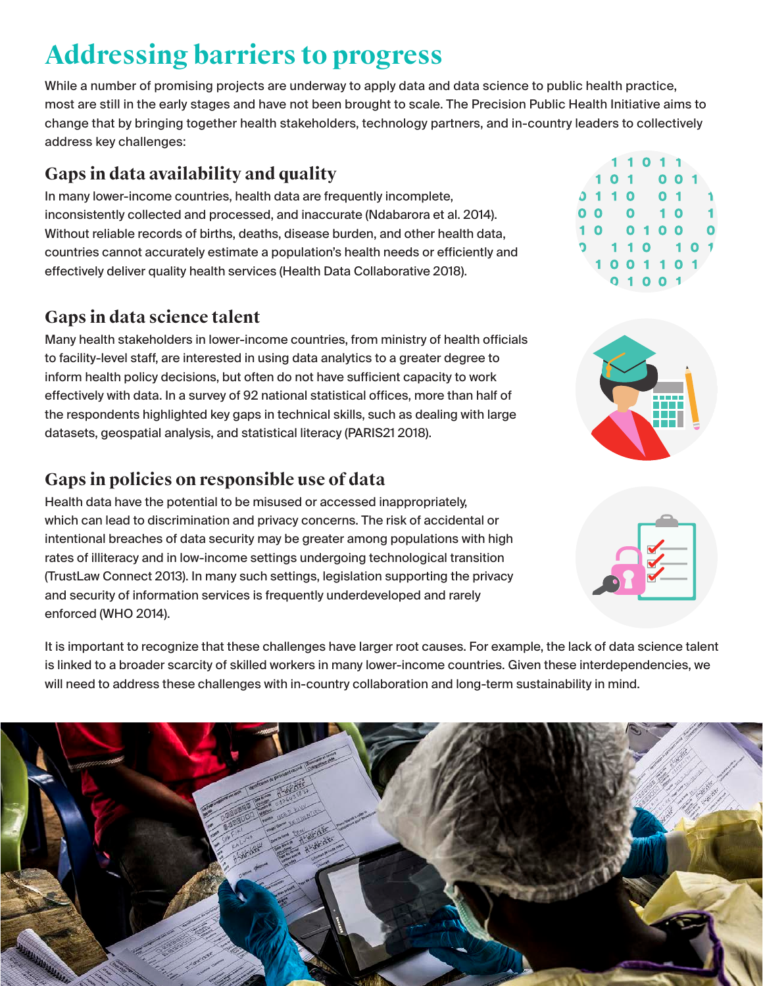# **Addressing barriers to progress**

While a number of promising projects are underway to apply data and data science to public health practice, most are still in the early stages and have not been brought to scale. The Precision Public Health Initiative aims to change that by bringing together health stakeholders, technology partners, and in-country leaders to collectively address key challenges:

### **Gaps in data availability and quality**

In many lower-income countries, health data are frequently incomplete, inconsistently collected and processed, and inaccurate (Ndabarora et al. 2014). Without reliable records of births, deaths, disease burden, and other health data, countries cannot accurately estimate a population's health needs or efficiently and effectively deliver quality health services (Health Data Collaborative 2018).

### **Gaps in data science talent**

Many health stakeholders in lower-income countries, from ministry of health officials to facility-level staff, are interested in using data analytics to a greater degree to inform health policy decisions, but often do not have sufficient capacity to work effectively with data. In a survey of 92 national statistical offices, more than half of the respondents highlighted key gaps in technical skills, such as dealing with large datasets, geospatial analysis, and statistical literacy (PARIS21 2018).

### **Gaps in policies on responsible use of data**

Health data have the potential to be misused or accessed inappropriately, which can lead to discrimination and privacy concerns. The risk of accidental or intentional breaches of data security may be greater among populations with high rates of illiteracy and in low-income settings undergoing technological transition (TrustLaw Connect 2013). In many such settings, legislation supporting the privacy and security of information services is frequently underdeveloped and rarely enforced (WHO 2014).

It is important to recognize that these challenges have larger root causes. For example, the lack of data science talent is linked to a broader scarcity of skilled workers in many lower-income countries. Given these interdependencies, we will need to address these challenges with in-country collaboration and long-term sustainability in mind.